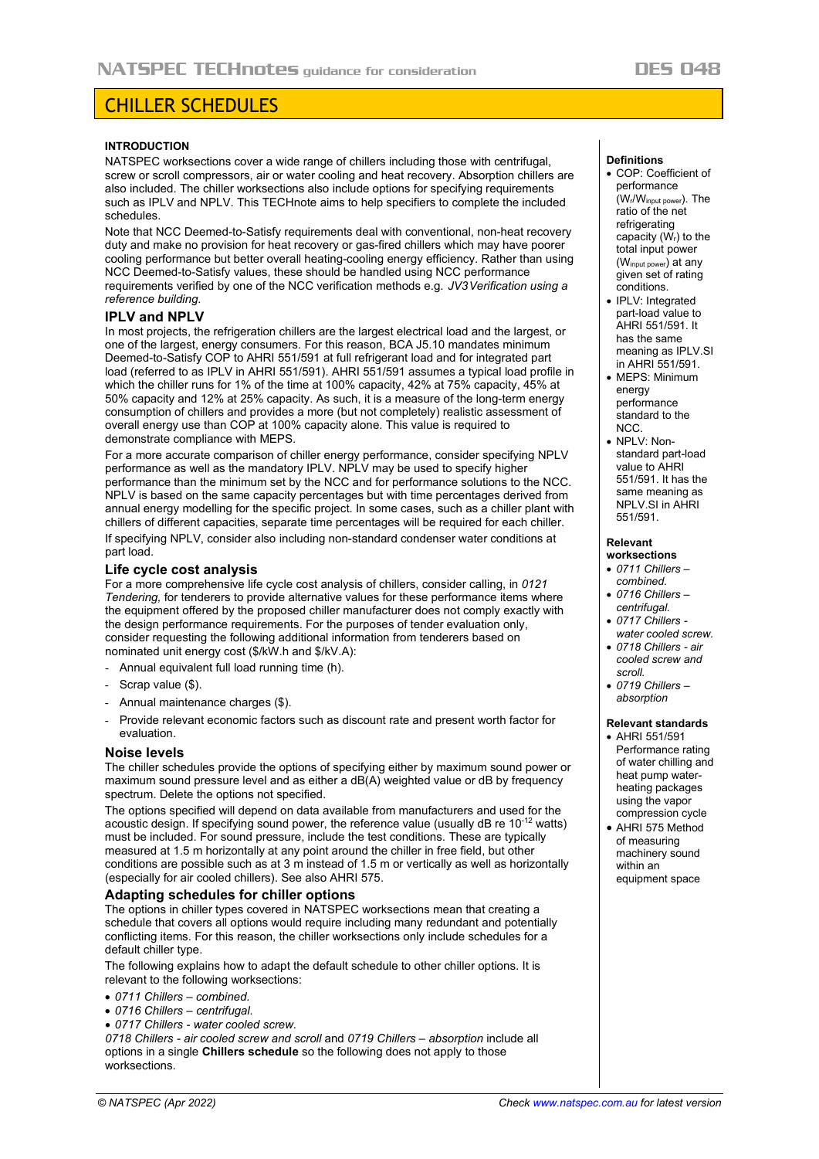# CHILLER SCHEDULES

#### **INTRODUCTION**

NATSPEC worksections cover a wide range of chillers including those with centrifugal, screw or scroll compressors, air or water cooling and heat recovery. Absorption chillers are also included. The chiller worksections also include options for specifying requirements such as IPLV and NPLV. This TECHnote aims to help specifiers to complete the included schedules.

Note that NCC Deemed-to-Satisfy requirements deal with conventional, non-heat recovery duty and make no provision for heat recovery or gas-fired chillers which may have poorer cooling performance but better overall heating-cooling energy efficiency. Rather than using NCC Deemed-to-Satisfy values, these should be handled using NCC performance requirements verified by one of the NCC verification methods e.g.  *JV3 Verification using a reference building.*

## **IPLV and NPLV**

In most projects, the refrigeration chillers are the largest electrical load and the largest, or one of the largest, energy consumers. For this reason, BCA J5.10 mandates minimum Deemed-to-Satisfy COP to AHRI 551/591 at full refrigerant load and for integrated part load (referred to as IPLV in AHRI 551/591). AHRI 551/591 assumes a typical load profile in which the chiller runs for 1% of the time at 100% capacity, 42% at 75% capacity, 45% at 50% capacity and 12% at 25% capacity. As such, it is a measure of the long-term energy consumption of chillers and provides a more (but not completely) realistic assessment of overall energy use than COP at 100% capacity alone. This value is required to demonstrate compliance with MEPS.

For a more accurate comparison of chiller energy performance, consider specifying NPLV performance as well as the mandatory IPLV. NPLV may be used to specify higher performance than the minimum set by the NCC and for performance solutions to the NCC. NPLV is based on the same capacity percentages but with time percentages derived from annual energy modelling for the specific project. In some cases, such as a chiller plant with chillers of different capacities, separate time percentages will be required for each chiller. If specifying NPLV, consider also including non-standard condenser water conditions at part load.

## **Life cycle cost analysis**

For a more comprehensive life cycle cost analysis of chillers, consider calling, in *0121 Tendering,* for tenderers to provide alternative values for these performance items where the equipment offered by the proposed chiller manufacturer does not comply exactly with the design performance requirements. For the purposes of tender evaluation only, consider requesting the following additional information from tenderers based on nominated unit energy cost (\$/kW.h and \$/kV.A):

- Annual equivalent full load running time (h).
- Scrap value (\$).
- Annual maintenance charges (\$).
- Provide relevant economic factors such as discount rate and present worth factor for evaluation.

## **Noise levels**

The chiller schedules provide the options of specifying either by maximum sound power or maximum sound pressure level and as either a dB(A) weighted value or dB by frequency spectrum. Delete the options not specified.

The options specified will depend on data available from manufacturers and used for the acoustic design. If specifying sound power, the reference value (usually dB re  $10^{-12}$  watts) must be included. For sound pressure, include the test conditions. These are typically measured at 1.5 m horizontally at any point around the chiller in free field, but other conditions are possible such as at 3 m instead of 1.5 m or vertically as well as horizontally (especially for air cooled chillers). See also AHRI 575.

## **Adapting schedules for chiller options**

The options in chiller types covered in NATSPEC worksections mean that creating a schedule that covers all options would require including many redundant and potentially conflicting items. For this reason, the chiller worksections only include schedules for a default chiller type.

The following explains how to adapt the default schedule to other chiller options. It is relevant to the following worksections:

- *0711 Chillers – combined.*
- *0716 Chillers – centrifugal.*
- *0717 Chillers - water cooled screw.*

*0718 Chillers - air cooled screw and scroll* and *0719 Chillers – absorption* include all options in a single **Chillers schedule** so the following does not apply to those worksections.

#### **Definitions**

- COP: Coefficient of performance (Wr/Winput power). The ratio of the net refrigerating capacity  $(W<sub>i</sub>)$  to the total input power (Winput power) at any given set of rating conditions.
- IPLV: Integrated part-load value to AHRI 551/591. It has the same meaning as IPLV.SI in AHRI 551/591.
- MEPS: Minimum energy performance standard to the NCC.
- NPLV: Nonstandard part-load value to AHRI 551/591. It has the same meaning as NPLV.SI in AHRI 551/591.

#### **Relevant**

- **worksections** • *0711 Chillers –*
- *combined.*
- *0716 Chillers – centrifugal.*
- *0717 Chillers water cooled screw.*
- *0718 Chillers - air cooled screw and scroll.*
- *0719 Chillers – absorption*

#### **Relevant standards**

- AHRI 551/591 Performance rating of water chilling and heat pump waterheating packages using the vapor compression cycle
- AHRI 575 Method of measuring machinery sound within an equipment space